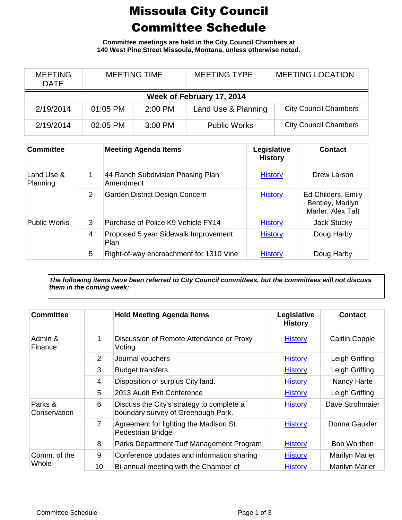## Missoula City Council Committee Schedule

**Committee meetings are held in the City Council Chambers at 140 West Pine Street Missoula, Montana, unless otherwise noted.**

| <b>MEETING</b><br><b>DATE</b> | <b>MEETING TIME</b> |           | <b>MEETING TYPE</b> | <b>MEETING LOCATION</b>      |  |  |
|-------------------------------|---------------------|-----------|---------------------|------------------------------|--|--|
| Week of February 17, 2014     |                     |           |                     |                              |  |  |
| 2/19/2014                     | 01:05 PM            | $2:00$ PM | Land Use & Planning | <b>City Council Chambers</b> |  |  |
| 2/19/2014                     | 02:05 PM            | $3:00$ PM | <b>Public Works</b> | <b>City Council Chambers</b> |  |  |

| <b>Committee</b>       |   | <b>Meeting Agenda Items</b>                    | Legislative<br><b>History</b> | <b>Contact</b>                                              |
|------------------------|---|------------------------------------------------|-------------------------------|-------------------------------------------------------------|
| Land Use &<br>Planning | 1 | 44 Ranch Subdivision Phasing Plan<br>Amendment | <b>History</b>                | Drew Larson                                                 |
|                        | 2 | Garden District Design Concern                 | <b>History</b>                | Ed Childers, Emily<br>Bentley, Marilyn<br>Marler, Alex Taft |
| <b>Public Works</b>    | 3 | Purchase of Police K9 Vehicle FY14             | <b>History</b>                | Jack Stucky                                                 |
|                        | 4 | Proposed 5 year Sidewalk Improvement<br>Plan   | <b>History</b>                | Doug Harby                                                  |
|                        | 5 | Right-of-way encroachment for 1310 Vine        | <b>History</b>                | Doug Harby                                                  |

*The following items have been referred to City Council committees, but the committees will not discuss them in the coming week:*

| <b>Committee</b>        |                | <b>Held Meeting Agenda Items</b>                                                | Legislative<br><b>History</b> | <b>Contact</b>        |
|-------------------------|----------------|---------------------------------------------------------------------------------|-------------------------------|-----------------------|
| Admin &<br>Finance      | 1              | Discussion of Remote Attendance or Proxy<br>Voting                              | <b>History</b>                | <b>Caitlin Copple</b> |
|                         | $\overline{2}$ | Journal vouchers                                                                | <b>History</b>                | Leigh Griffing        |
|                         | 3              | Budget transfers.                                                               | <b>History</b>                | Leigh Griffing        |
|                         | $\overline{4}$ | Disposition of surplus City land.                                               | <b>History</b>                | Nancy Harte           |
|                         | 5              | 2013 Audit Exit Conference                                                      | <b>History</b>                | Leigh Griffing        |
| Parks &<br>Conservation | 6              | Discuss the City's strategy to complete a<br>boundary survey of Greenough Park. | <b>History</b>                | Dave Strohmaier       |
|                         | $\overline{7}$ | Agreement for lighting the Madison St.<br>Pedestrian Bridge                     | <b>History</b>                | Donna Gaukler         |
|                         | 8              | Parks Department Turf Management Program                                        | <b>History</b>                | <b>Bob Worthen</b>    |
| Comm. of the<br>Whole   | 9              | Conference updates and information sharing                                      | <b>History</b>                | Marilyn Marler        |
|                         | 10             | Bi-annual meeting with the Chamber of                                           | <b>History</b>                | <b>Marilyn Marler</b> |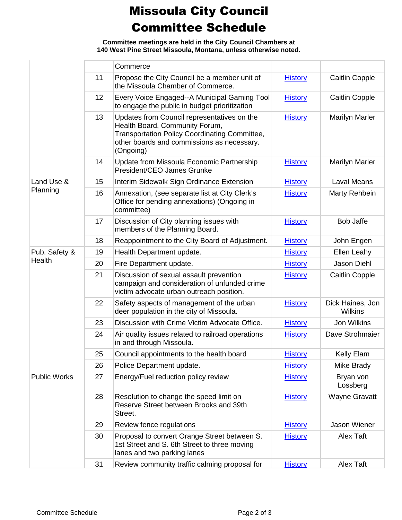## Missoula City Council Committee Schedule

**Committee meetings are held in the City Council Chambers at 140 West Pine Street Missoula, Montana, unless otherwise noted.**

|                         |    | Commerce                                                                                                                                                                                  |                |                                    |
|-------------------------|----|-------------------------------------------------------------------------------------------------------------------------------------------------------------------------------------------|----------------|------------------------------------|
|                         | 11 | Propose the City Council be a member unit of<br>the Missoula Chamber of Commerce.                                                                                                         | <b>History</b> | <b>Caitlin Copple</b>              |
|                         | 12 | Every Voice Engaged--A Municipal Gaming Tool<br>to engage the public in budget prioritization                                                                                             | <b>History</b> | <b>Caitlin Copple</b>              |
|                         | 13 | Updates from Council representatives on the<br>Health Board, Community Forum,<br>Transportation Policy Coordinating Committee,<br>other boards and commissions as necessary.<br>(Ongoing) | <b>History</b> | <b>Marilyn Marler</b>              |
|                         | 14 | Update from Missoula Economic Partnership<br>President/CEO James Grunke                                                                                                                   | <b>History</b> | <b>Marilyn Marler</b>              |
| Land Use &              | 15 | Interim Sidewalk Sign Ordinance Extension                                                                                                                                                 | <b>History</b> | Laval Means                        |
| Planning                | 16 | Annexation, (see separate list at City Clerk's<br>Office for pending annexations) (Ongoing in<br>committee)                                                                               | <b>History</b> | Marty Rehbein                      |
|                         | 17 | Discussion of City planning issues with<br>members of the Planning Board.                                                                                                                 | <b>History</b> | <b>Bob Jaffe</b>                   |
|                         | 18 | Reappointment to the City Board of Adjustment.                                                                                                                                            | <b>History</b> | John Engen                         |
| Pub. Safety &<br>Health | 19 | Health Department update.                                                                                                                                                                 | <b>History</b> | Ellen Leahy                        |
|                         | 20 | Fire Department update.                                                                                                                                                                   | <b>History</b> | Jason Diehl                        |
|                         | 21 | Discussion of sexual assault prevention<br>campaign and consideration of unfunded crime<br>victim advocate urban outreach position.                                                       | <b>History</b> | <b>Caitlin Copple</b>              |
|                         | 22 | Safety aspects of management of the urban<br>deer population in the city of Missoula.                                                                                                     | <b>History</b> | Dick Haines, Jon<br><b>Wilkins</b> |
|                         | 23 | Discussion with Crime Victim Advocate Office.                                                                                                                                             | <b>History</b> | Jon Wilkins                        |
|                         | 24 | Air quality issues related to railroad operations<br>in and through Missoula.                                                                                                             | <b>History</b> | Dave Strohmaier                    |
|                         | 25 | Council appointments to the health board                                                                                                                                                  | <b>History</b> | Kelly Elam                         |
|                         | 26 | Police Department update.                                                                                                                                                                 | <b>History</b> | Mike Brady                         |
| <b>Public Works</b>     | 27 | Energy/Fuel reduction policy review                                                                                                                                                       | <b>History</b> | Bryan von<br>Lossberg              |
|                         | 28 | Resolution to change the speed limit on<br>Reserve Street between Brooks and 39th<br>Street.                                                                                              | <b>History</b> | <b>Wayne Gravatt</b>               |
|                         | 29 | Review fence regulations                                                                                                                                                                  | <b>History</b> | Jason Wiener                       |
|                         | 30 | Proposal to convert Orange Street between S.<br>1st Street and S. 6th Street to three moving<br>lanes and two parking lanes                                                               | <b>History</b> | Alex Taft                          |
|                         | 31 | Review community traffic calming proposal for                                                                                                                                             | <b>History</b> | Alex Taft                          |